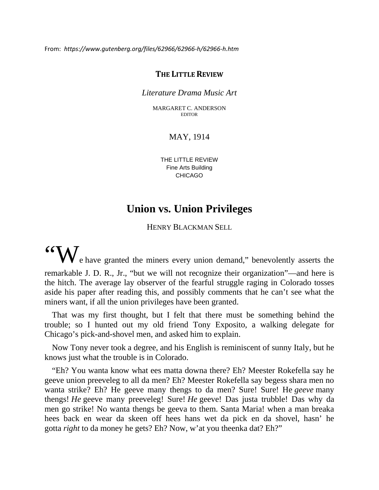From: *https://www.gutenberg.org/files/62966/62966-h/62966-h.htm*

## **THE LITTLE REVIEW**

## *Literature Drama Music Art*

MARGARET C. ANDERSON EDITOR

## MAY, 1914

THE LITTLE REVIEW Fine Arts Building CHICAGO

## **Union vs. Union Privileges**

HENRY BLACKMAN SELL

 $\mathcal{W}_{\text{e have granted the miners every union demand, "benevolently asserts the time of the miners.}$ remarkable J. D. R., Jr., "but we will not recognize their organization"—and here is the hitch. The average lay observer of the fearful struggle raging in Colorado tosses aside his paper after reading this, and possibly comments that he can't see what the miners want, if all the union privileges have been granted.

That was my first thought, but I felt that there must be something behind the trouble; so I hunted out my old friend Tony Exposito, a walking delegate for Chicago's pick-and-shovel men, and asked him to explain.

Now Tony never took a degree, and his English is reminiscent of sunny Italy, but he knows just what the trouble is in Colorado.

"Eh? You wanta know what ees matta downa there? Eh? Meester Rokefella say he geeve union preeveleg to all da men? Eh? Meester Rokefella say begess shara men no wanta strike? Eh? He geeve many thengs to da men? Sure! Sure! He *geeve* many thengs! *He* geeve many preeveleg! Sure! *He* geeve! Das justa trubble! Das why da men go strike! No wanta thengs be geeva to them. Santa Maria! when a man breaka hees back en wear da skeen off hees hans wet da pick en da shovel, hasn' he gotta *right* to da money he gets? Eh? Now, w'at you theenka dat? Eh?"